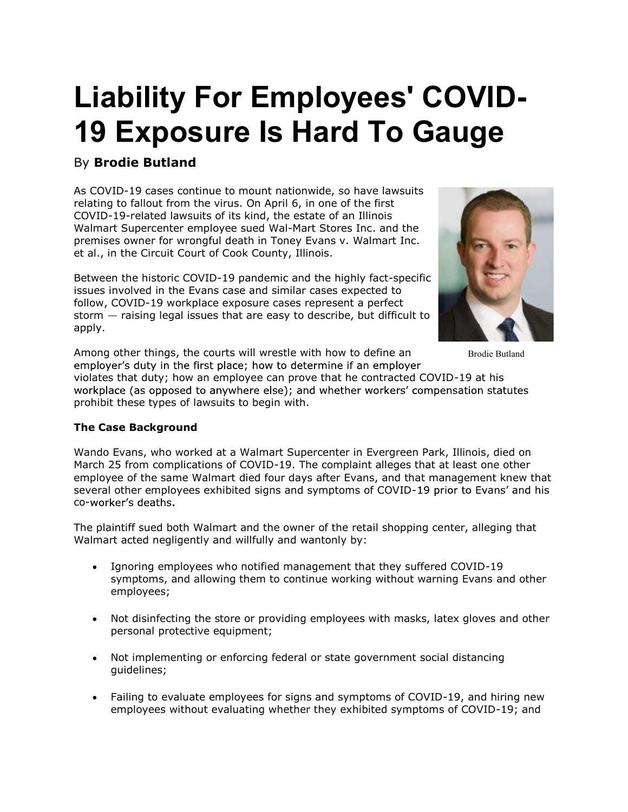# Liability For Employees' COVID-19 Exposure Is Hard To Gauge

# By Brodie Butland

As COVID-19 cases continue to mount nationwide, so have lawsuits relating to fallout from the virus. On April 6, in one of the first COVID-19-related lawsuits of its kind, the estate of an Illinois Walmart Supercenter employee sued Wal-Mart Stores Inc. and the premises owner for wrongful death in Toney Evans v. Walmart Inc. et al., in the Circuit Court of Cook County, Illinois.

Between the historic COVID-19 pandemic and the highly fact-specific issues involved in the Evans case and similar cases expected to follow, COVID-19 workplace exposure cases represent a perfect storm  $-$  raising legal issues that are easy to describe, but difficult to apply.



Brodie Butland

Among other things, the courts will wrestle with how to define an employer's duty in the first place; how to determine if an employer

violates that duty; how an employee can prove that he contracted COVID-19 at his workplace (as opposed to anywhere else); and whether workers' compensation statutes prohibit these types of lawsuits to begin with.

# The Case Background

Wando Evans, who worked at a Walmart Supercenter in Evergreen Park, Illinois, died on March 25 from complications of COVID-19. The complaint alleges that at least one other employee of the same Walmart died four days after Evans, and that management knew that several other employees exhibited signs and symptoms of COVID-19 prior to Evans' and his co-worker's deaths.

The plaintiff sued both Walmart and the owner of the retail shopping center, alleging that Walmart acted negligently and willfully and wantonly by:

- Ignoring employees who notified management that they suffered COVID-19 symptoms, and allowing them to continue working without warning Evans and other employees;
- Not disinfecting the store or providing employees with masks, latex gloves and other personal protective equipment;
- Not implementing or enforcing federal or state government social distancing guidelines;
- Failing to evaluate employees for signs and symptoms of COVID-19, and hiring new employees without evaluating whether they exhibited symptoms of COVID-19; and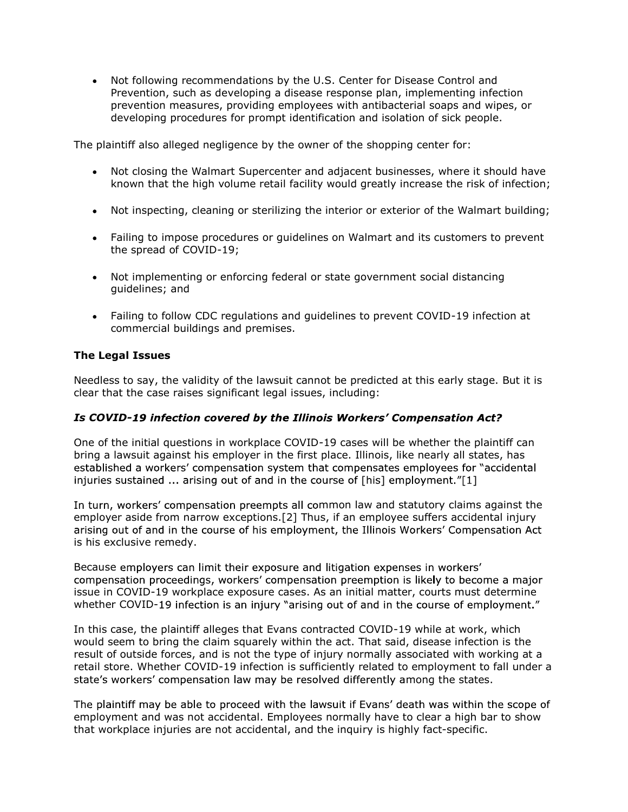Not following recommendations by the U.S. Center for Disease Control and Prevention, such as developing a disease response plan, implementing infection prevention measures, providing employees with antibacterial soaps and wipes, or developing procedures for prompt identification and isolation of sick people.

The plaintiff also alleged negligence by the owner of the shopping center for:

- Not closing the Walmart Supercenter and adjacent businesses, where it should have  $\bullet$ known that the high volume retail facility would greatly increase the risk of infection;
- Not inspecting, cleaning or sterilizing the interior or exterior of the Walmart building;
- Failing to impose procedures or guidelines on Walmart and its customers to prevent the spread of COVID-19;
- Not implementing or enforcing federal or state government social distancing  $\bullet$  . guidelines; and
- Failing to follow CDC regulations and guidelines to prevent COVID-19 infection at commercial buildings and premises.

# The Legal Issues

Needless to say, the validity of the lawsuit cannot be predicted at this early stage. But it is clear that the case raises significant legal issues, including:

# Is COVID-19 infection covered by the Illinois Workers' Compensation Act?

One of the initial questions in workplace COVID-19 cases will be whether the plaintiff can bring a lawsuit against his employer in the first place. Illinois, like nearly all states, has established a workers' compensation system that compensates employees for "accidental injuries sustained ... arising out of and in the course of [his] employment."[1]

In turn, workers' compensation preempts all common law and statutory claims against the employer aside from narrow exceptions.[2] Thus, if an employee suffers accidental injury arising out of and in the course of his employment, the Illinois Workers' Compensation Act is his exclusive remedy.

Because employers can limit their exposure and litigation expenses in workers' compensation proceedings, workers' compensation preemption is likely to become a major issue in COVID-19 workplace exposure cases. As an initial matter, courts must determine whether COVID-19 infection is an injury "arising out of and in the course of employment."

In this case, the plaintiff alleges that Evans contracted COVID-19 while at work, which would seem to bring the claim squarely within the act. That said, disease infection is the result of outside forces, and is not the type of injury normally associated with working at a retail store. Whether COVID-19 infection is sufficiently related to employment to fall under a state's workers' compensation law may be resolved differently among the states.

The plaintiff may be able to proceed with the lawsuit if Evans' death was within the scope of employment and was not accidental. Employees normally have to clear a high bar to show that workplace injuries are not accidental, and the inquiry is highly fact-specific.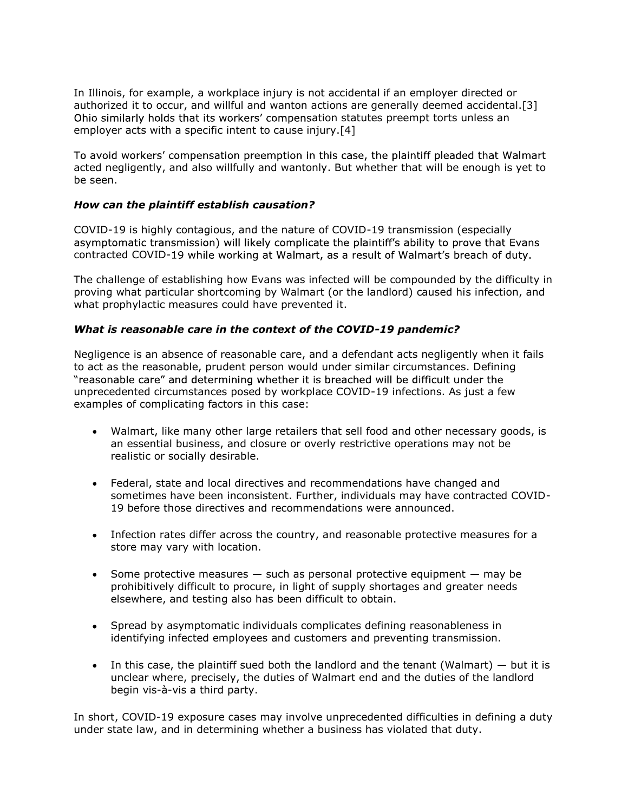In Illinois, for example, a workplace injury is not accidental if an employer directed or authorized it to occur, and willful and wanton actions are generally deemed accidental.[3] Ohio similarly holds that its workers' compensation statutes preempt torts unless an employer acts with a specific intent to cause injury.[4]

To avoid workers' compensation preemption in this case, the plaintiff pleaded that Walmart acted negligently, and also willfully and wantonly. But whether that will be enough is yet to be seen.

### How can the plaintiff establish causation?

COVID-19 is highly contagious, and the nature of COVID-19 transmission (especially asymptomatic transmission) will likely complicate the plaintiff's ability to prove that Evans contracted COVID-19 while working at Walmart, as a result of Walmart's breach of duty.

The challenge of establishing how Evans was infected will be compounded by the difficulty in proving what particular shortcoming by Walmart (or the landlord) caused his infection, and what prophylactic measures could have prevented it.

# What is reasonable care in the context of the COVID-19 pandemic?

Negligence is an absence of reasonable care, and a defendant acts negligently when it fails to act as the reasonable, prudent person would under similar circumstances. Defining "reasonable care" and determining whether it is breached will be difficult under the unprecedented circumstances posed by workplace COVID-19 infections. As just a few examples of complicating factors in this case:

- Walmart, like many other large retailers that sell food and other necessary goods, is  $\bullet$ an essential business, and closure or overly restrictive operations may not be realistic or socially desirable.
- Federal, state and local directives and recommendations have changed and sometimes have been inconsistent. Further, individuals may have contracted COVID-19 before those directives and recommendations were announced.
- Infection rates differ across the country, and reasonable protective measures for a store may vary with location.
- Some protective measures  $-$  such as personal protective equipment  $-$  may be prohibitively difficult to procure, in light of supply shortages and greater needs elsewhere, and testing also has been difficult to obtain.
- Spread by asymptomatic individuals complicates defining reasonableness in identifying infected employees and customers and preventing transmission.
- In this case, the plaintiff sued both the landlord and the tenant (Walmart)  $-$  but it is unclear where, precisely, the duties of Walmart end and the duties of the landlord begin vis-à-vis a third party.

In short, COVID-19 exposure cases may involve unprecedented difficulties in defining a duty under state law, and in determining whether a business has violated that duty.